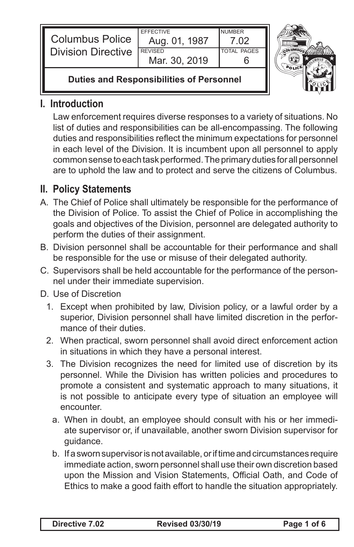| <b>Columbus Police</b>    | <b>FFFFCTIVE</b><br>Aug. 01, 1987 | <b>NUMBER</b><br>່ ດາ |  |
|---------------------------|-----------------------------------|-----------------------|--|
| <b>Division Directive</b> | <b>REVISED</b><br>Mar. 30, 2019   | <b>TOTAL PAGES</b>    |  |
|                           |                                   |                       |  |



**Duties and Responsibilities of Personnel**

### **I. Introduction**

Law enforcement requires diverse responses to a variety of situations. No list of duties and responsibilities can be all-encompassing. The following duties and responsibilities reflect the minimum expectations for personnel in each level of the Division. It is incumbent upon all personnel to apply common sense to each task performed. The primary duties for all personnel are to uphold the law and to protect and serve the citizens of Columbus.

# **II. Policy Statements**

- A. The Chief of Police shall ultimately be responsible for the performance of the Division of Police. To assist the Chief of Police in accomplishing the goals and objectives of the Division, personnel are delegated authority to perform the duties of their assignment.
- B. Division personnel shall be accountable for their performance and shall be responsible for the use or misuse of their delegated authority.
- C. Supervisors shall be held accountable for the performance of the personnel under their immediate supervision.
- D. Use of Discretion
	- 1. Except when prohibited by law, Division policy, or a lawful order by a superior, Division personnel shall have limited discretion in the performance of their duties.
	- 2. When practical, sworn personnel shall avoid direct enforcement action in situations in which they have a personal interest.
	- 3. The Division recognizes the need for limited use of discretion by its personnel. While the Division has written policies and procedures to promote a consistent and systematic approach to many situations, it is not possible to anticipate every type of situation an employee will encounter.
		- a. When in doubt, an employee should consult with his or her immediate supervisor or, if unavailable, another sworn Division supervisor for guidance.
		- b. If a sworn supervisor is not available, or if time and circumstances require immediate action, sworn personnel shall use their own discretion based upon the Mission and Vision Statements, Official Oath, and Code of Ethics to make a good faith effort to handle the situation appropriately.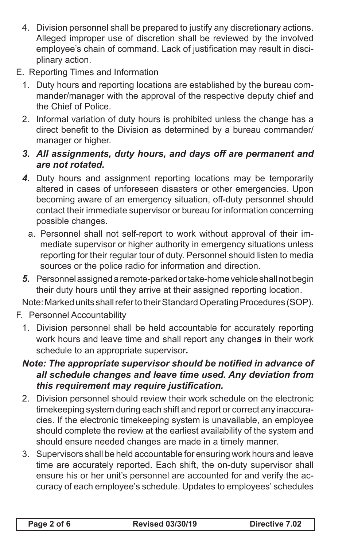- 4. Division personnel shall be prepared to justify any discretionary actions. Alleged improper use of discretion shall be reviewed by the involved employee's chain of command. Lack of justification may result in disciplinary action.
- E. Reporting Times and Information
	- 1. Duty hours and reporting locations are established by the bureau commander/manager with the approval of the respective deputy chief and the Chief of Police.
	- 2. Informal variation of duty hours is prohibited unless the change has a direct benefit to the Division as determined by a bureau commander/ manager or higher.
	- *3. All assignments, duty hours, and days off are permanent and are not rotated.*
	- *4.* Duty hours and assignment reporting locations may be temporarily altered in cases of unforeseen disasters or other emergencies. Upon becoming aware of an emergency situation, off-duty personnel should contact their immediate supervisor or bureau for information concerning possible changes.
		- a. Personnel shall not self-report to work without approval of their immediate supervisor or higher authority in emergency situations unless reporting for their regular tour of duty. Personnel should listen to media sources or the police radio for information and direction.
	- *5.* Personnel assigned a remote-parked or take-home vehicle shall not begin their duty hours until they arrive at their assigned reporting location.

Note: Marked units shall refer to their Standard Operating Procedures (SOP).

- F. Personnel Accountability
	- 1. Division personnel shall be held accountable for accurately reporting work hours and leave time and shall report any change*s* in their work schedule to an appropriate supervisor*.*
	- *Note: The appropriate supervisor should be notified in advance of all schedule changes and leave time used. Any deviation from this requirement may require justification.*
	- 2. Division personnel should review their work schedule on the electronic timekeeping system during each shift and report or correct any inaccuracies. If the electronic timekeeping system is unavailable, an employee should complete the review at the earliest availability of the system and should ensure needed changes are made in a timely manner.
	- 3. Supervisors shall be held accountable for ensuring work hours and leave time are accurately reported. Each shift, the on-duty supervisor shall ensure his or her unit's personnel are accounted for and verify the accuracy of each employee's schedule. Updates to employees' schedules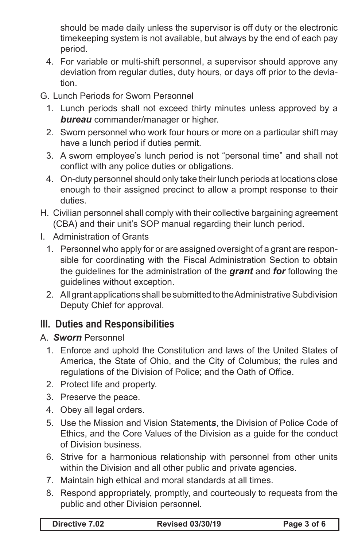should be made daily unless the supervisor is off duty or the electronic timekeeping system is not available, but always by the end of each pay period.

- 4. For variable or multi-shift personnel, a supervisor should approve any deviation from regular duties, duty hours, or days off prior to the deviation.
- G. Lunch Periods for Sworn Personnel
	- 1. Lunch periods shall not exceed thirty minutes unless approved by a *bureau* commander/manager or higher.
	- 2. Sworn personnel who work four hours or more on a particular shift may have a lunch period if duties permit.
	- 3. A sworn employee's lunch period is not "personal time" and shall not conflict with any police duties or obligations.
	- 4. On-duty personnel should only take their lunch periods at locations close enough to their assigned precinct to allow a prompt response to their duties.
- H. Civilian personnel shall comply with their collective bargaining agreement (CBA) and their unit's SOP manual regarding their lunch period.
- I. Administration of Grants
	- 1. Personnel who apply for or are assigned oversight of a grant are responsible for coordinating with the Fiscal Administration Section to obtain the guidelines for the administration of the *grant* and *for* following the guidelines without exception.
	- 2. All grant applications shall be submitted to the Administrative Subdivision Deputy Chief for approval.

# **III. Duties and Responsibilities**

#### A. *Sworn* Personnel

- 1. Enforce and uphold the Constitution and laws of the United States of America, the State of Ohio, and the City of Columbus; the rules and regulations of the Division of Police; and the Oath of Office.
- 2. Protect life and property.
- 3. Preserve the peace.
- 4. Obey all legal orders.
- 5. Use the Mission and Vision Statement*s*, the Division of Police Code of Ethics, and the Core Values of the Division as a guide for the conduct of Division business.
- 6. Strive for a harmonious relationship with personnel from other units within the Division and all other public and private agencies.
- 7. Maintain high ethical and moral standards at all times.
- 8. Respond appropriately, promptly, and courteously to requests from the public and other Division personnel.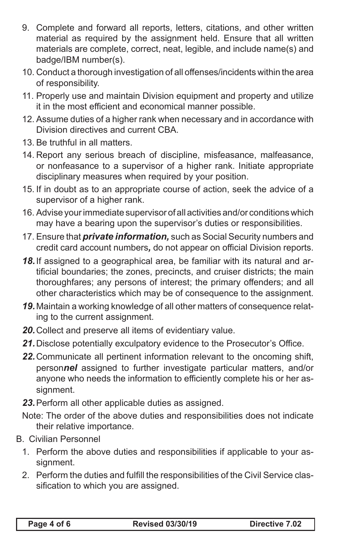- 9. Complete and forward all reports, letters, citations, and other written material as required by the assignment held. Ensure that all written materials are complete, correct, neat, legible, and include name(s) and badge/IBM number(s).
- 10. Conduct a thorough investigation of all offenses/incidents within the area of responsibility.
- 11. Properly use and maintain Division equipment and property and utilize it in the most efficient and economical manner possible.
- 12. Assume duties of a higher rank when necessary and in accordance with Division directives and current CBA.
- 13. Be truthful in all matters.
- 14. Report any serious breach of discipline, misfeasance, malfeasance, or nonfeasance to a supervisor of a higher rank. Initiate appropriate disciplinary measures when required by your position.
- 15. If in doubt as to an appropriate course of action, seek the advice of a supervisor of a higher rank.
- 16. Advise your immediate supervisor of all activities and/or conditions which may have a bearing upon the supervisor's duties or responsibilities.
- 17. Ensure that *private information,* such as Social Security numbers and credit card account numbers*,* do not appear on official Division reports.
- *18.*If assigned to a geographical area, be familiar with its natural and artificial boundaries; the zones, precincts, and cruiser districts; the main thoroughfares; any persons of interest; the primary offenders; and all other characteristics which may be of consequence to the assignment.
- *19.*Maintain a working knowledge of all other matters of consequence relating to the current assignment.
- *20.*Collect and preserve all items of evidentiary value.
- *21.*Disclose potentially exculpatory evidence to the Prosecutor's Office.
- *22.*Communicate all pertinent information relevant to the oncoming shift, person*nel* assigned to further investigate particular matters, and/or anyone who needs the information to efficiently complete his or her assignment.
- *23.*Perform all other applicable duties as assigned.
- Note: The order of the above duties and responsibilities does not indicate their relative importance.
- B. Civilian Personnel
	- 1. Perform the above duties and responsibilities if applicable to your assignment.
	- 2. Perform the duties and fulfill the responsibilities of the Civil Service classification to which you are assigned.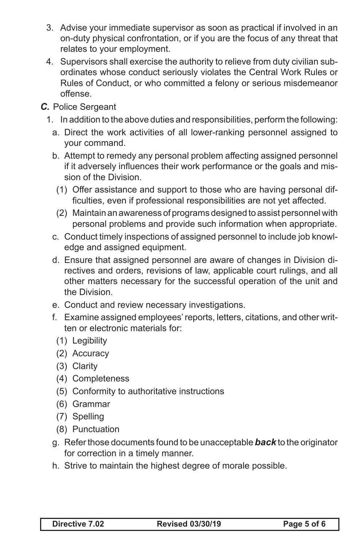- 3. Advise your immediate supervisor as soon as practical if involved in an on-duty physical confrontation, or if you are the focus of any threat that relates to your employment.
- 4. Supervisors shall exercise the authority to relieve from duty civilian subordinates whose conduct seriously violates the Central Work Rules or Rules of Conduct, or who committed a felony or serious misdemeanor offense.

#### *C.* Police Sergeant

- 1. In addition to the above duties and responsibilities, perform the following:
	- a. Direct the work activities of all lower-ranking personnel assigned to your command.
	- b. Attempt to remedy any personal problem affecting assigned personnel if it adversely influences their work performance or the goals and mission of the Division.
	- (1) Offer assistance and support to those who are having personal difficulties, even if professional responsibilities are not yet affected.
	- (2) Maintain an awareness of programs designed to assist personnel with personal problems and provide such information when appropriate.
	- c. Conduct timely inspections of assigned personnel to include job knowledge and assigned equipment.
	- d. Ensure that assigned personnel are aware of changes in Division directives and orders, revisions of law, applicable court rulings, and all other matters necessary for the successful operation of the unit and the Division.
	- e. Conduct and review necessary investigations.
	- f. Examine assigned employees' reports, letters, citations, and other written or electronic materials for:
		- (1) Legibility
		- (2) Accuracy
		- (3) Clarity
		- (4) Completeness
		- (5) Conformity to authoritative instructions
		- (6) Grammar
		- (7) Spelling
		- (8) Punctuation
	- g. Refer those documents found to be unacceptable *back* to the originator for correction in a timely manner.
	- h. Strive to maintain the highest degree of morale possible.